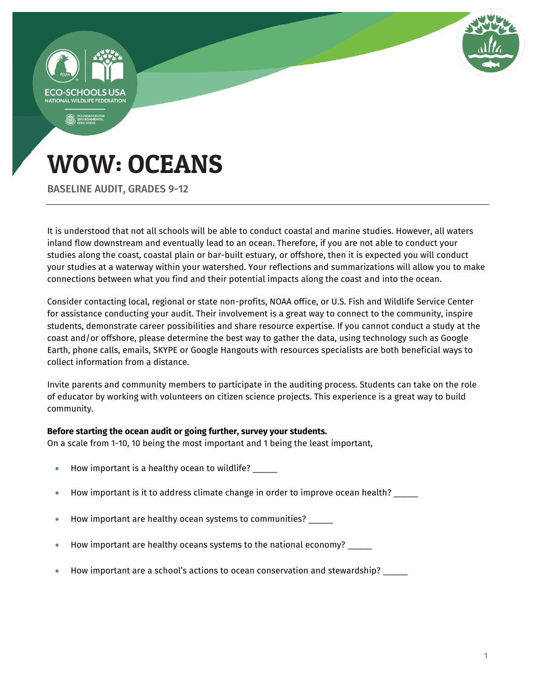

# WOW: OCEANS

BASELINE AUDIT, GRADES 9-12

It is understood that not all schools will be able to conduct coastal and marine studies. However, all waters inland flow downstream and eventually lead to an ocean. Therefore, if you are not able to conduct your studies along the coast, coastal plain or bar-built estuary, or offshore, then it is expected you will conduct your studies at a waterway within your watershed. Your reflections and summarizations will allow you to make connections between what you find and their potential impacts along the coast and into the ocean.

Consider contacting local, regional or state non-profits, NOAA office, or U.S. Fish and Wildlife Service Center for assistance conducting your audit. Their involvement is a great way to connect to the community, inspire students, demonstrate career possibilities and share resource expertise. If you cannot conduct a study at the coast and/or offshore, please determine the best way to gather the data, using technology such as Google Earth, phone calls, emails, SKYPE or Google Hangouts with resources specialists are both beneficial ways to collect information from a distance.

Invite parents and community members to participate in the auditing process. Students can take on the role of educator by working with volunteers on citizen science projects. This experience is a great way to build community.

#### **Before starting the ocean audit or going further, survey your students.**

On a scale from 1-10, 10 being the most important and 1 being the least important,

- How important is a healthy ocean to wildlife?
- How important is it to address climate change in order to improve ocean health?
- How important are healthy ocean systems to communities? \_\_\_\_\_
- How important are healthy oceans systems to the national economy? \_\_\_\_\_
- How important are a school's actions to ocean conservation and stewardship? \_\_\_\_\_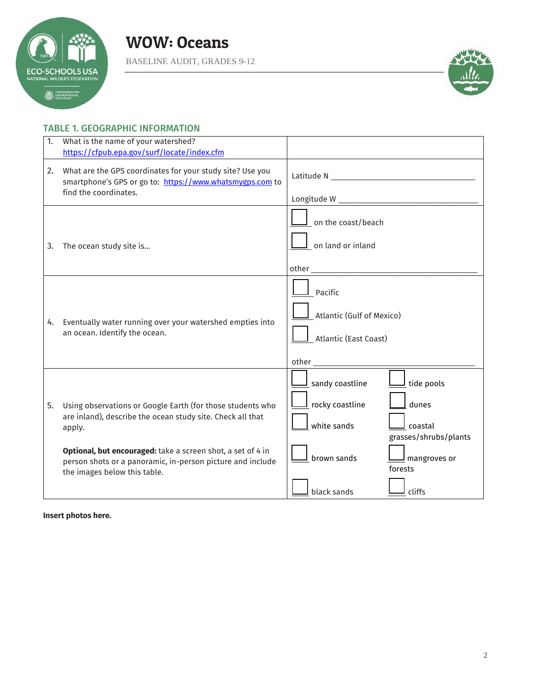

BASELINE AUDIT, GRADES 9-12



#### TABLE 1. GEOGRAPHIC INFORMATION

| 1. | What is the name of your watershed?<br>https://cfpub.epa.gov/surf/locate/index.cfm                                                                                                                                                                                                              |                                                                                                                                                                                                                                                                                                  |
|----|-------------------------------------------------------------------------------------------------------------------------------------------------------------------------------------------------------------------------------------------------------------------------------------------------|--------------------------------------------------------------------------------------------------------------------------------------------------------------------------------------------------------------------------------------------------------------------------------------------------|
| 2. | What are the GPS coordinates for your study site? Use you<br>smartphone's GPS or go to: https://www.whatsmygps.com to<br>find the coordinates.                                                                                                                                                  |                                                                                                                                                                                                                                                                                                  |
| 3. | The ocean study site is                                                                                                                                                                                                                                                                         | on the coast/beach<br>on land or inland                                                                                                                                                                                                                                                          |
| 4. | Eventually water running over your watershed empties into<br>an ocean. Identify the ocean.                                                                                                                                                                                                      | Pacific<br>Atlantic (Gulf of Mexico)<br>Atlantic (East Coast)<br>other and the state of the state of the state of the state of the state of the state of the state of the state of the state of the state of the state of the state of the state of the state of the state of the state of the s |
| 5. | Using observations or Google Earth (for those students who<br>are inland), describe the ocean study site. Check all that<br>apply.<br>Optional, but encouraged: take a screen shot, a set of 4 in<br>person shots or a panoramic, in-person picture and include<br>the images below this table. | sandy coastline<br>tide pools<br>rocky coastline<br>dunes<br>white sands<br>coastal<br>grasses/shrubs/plants<br>brown sands<br>$\mathsf{\underline{J}}$ mangroves or<br>forests<br>black sands<br>cliffs                                                                                         |

**Insert photos here.**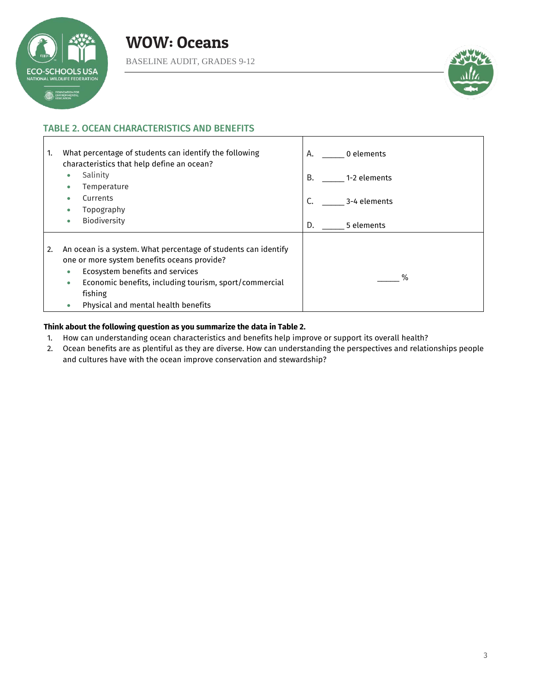

Г

BASELINE AUDIT, GRADES 9-12



a l

#### TABLE 2. OCEAN CHARACTERISTICS AND BENEFITS

| What percentage of students can identify the following<br>1.<br>characteristics that help define an ocean?                                                                                                                                                                                | 0 elements<br>А. |
|-------------------------------------------------------------------------------------------------------------------------------------------------------------------------------------------------------------------------------------------------------------------------------------------|------------------|
| Salinity                                                                                                                                                                                                                                                                                  | В.               |
| Temperature                                                                                                                                                                                                                                                                               | 1-2 elements     |
| Currents                                                                                                                                                                                                                                                                                  | C.               |
| Topography                                                                                                                                                                                                                                                                                | 3-4 elements     |
| <b>Biodiversity</b>                                                                                                                                                                                                                                                                       | D.               |
| ۰                                                                                                                                                                                                                                                                                         | 5 elements       |
| An ocean is a system. What percentage of students can identify<br>2.<br>one or more system benefits oceans provide?<br>Ecosystem benefits and services<br>$\bullet$<br>Economic benefits, including tourism, sport/commercial<br>۰<br>fishing<br>Physical and mental health benefits<br>۰ | %                |

#### **Think about the following question as you summarize the data in Table 2.**

- 1. How can understanding ocean characteristics and benefits help improve or support its overall health?
- 2. Ocean benefits are as plentiful as they are diverse. How can understanding the perspectives and relationships people and cultures have with the ocean improve conservation and stewardship?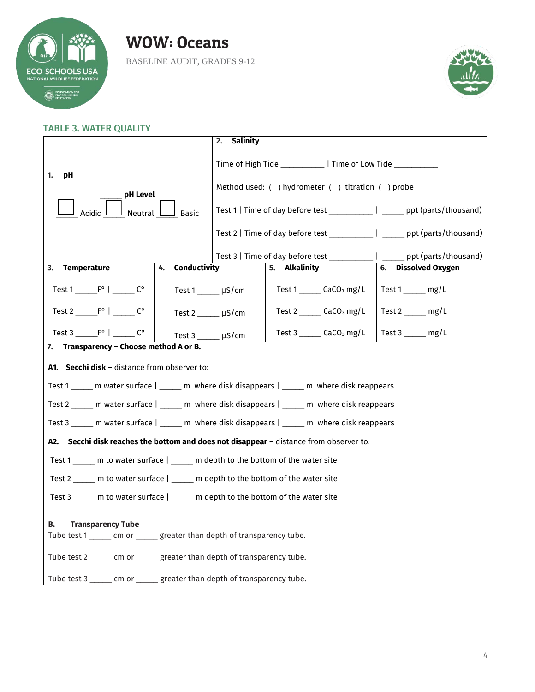



#### TABLE 3. WATER QUALITY **1. pH** \_\_\_\_\_ **pH Level** Acidic **Letter** Neutral **Letter** Basic **2. Salinity** Time of High Tide Figure 2 | Time of Low Tide Method used: ( ) hydrometer ( ) titration ( ) probe Test 1 | Time of day before test \_\_\_\_\_\_\_\_\_\_ | \_\_\_\_\_ ppt (parts/thousand) Test 2 | Time of day before test \_\_\_\_\_\_\_\_\_\_ | \_\_\_\_\_ ppt (parts/thousand) Test 3 | Time of day before test \_\_\_\_\_\_\_\_\_\_ | \_\_\_\_\_ ppt (parts/thousand) **3. Temperature** Test 1 \_\_\_\_\_\_\_ F° | \_\_\_\_\_\_\_ C° Test 2  $F^{\circ}$  |  $C^{\circ}$ Test  $3 \underline{\hspace{1cm}} F^{\circ}$  |  $C^{\circ}$ **4. Conductivity** Test 1 µS/cm Test 2 \_\_\_\_\_ μS/cm Test 3 \_\_\_\_\_ μS/cm **5. Alkalinity** Test 1 \_\_\_\_\_\_ CaCO<sub>3</sub> mg/L Test 2  $CaCO<sub>3</sub>$  mg/L Test 3 \_\_\_\_\_\_ CaCO<sub>3</sub> mg/L **6. Dissolved Oxygen** Test 1 \_\_\_\_\_ mg/L Test 2 mg/L Test 3 \_\_\_\_\_ mg/L **7. Transparency – Choose method A or B. A1. Secchi disk** – distance from observer to: Test 1 \_\_\_\_\_ m water surface | \_\_\_\_\_ m where disk disappears | \_\_\_\_\_ m where disk reappears Test 2 dom m water surface | dom m where disk disappears | dom m where disk reappears Test 3 \_\_\_\_\_ m water surface | \_\_\_\_\_ m where disk disappears | \_\_\_\_\_ m where disk reappears **A2. Secchi disk reaches the bottom and does not disappear** – distance from observer to: Test 1 \_\_\_\_\_ m to water surface | \_\_\_\_\_ m depth to the bottom of the water site Test 2 \_\_\_\_\_ m to water surface | \_\_\_\_\_ m depth to the bottom of the water site Test 3 \_\_\_\_\_ m to water surface | \_\_\_\_\_ m depth to the bottom of the water site **B. Transparency Tube** Tube test 1 \_\_\_\_\_\_ cm or \_\_\_\_\_ greater than depth of transparency tube. Tube test 2 \_\_\_\_\_ cm or \_\_\_\_\_ greater than depth of transparency tube. Tube test 3 \_\_\_\_\_ cm or \_\_\_\_\_ greater than depth of transparency tube.

#### 4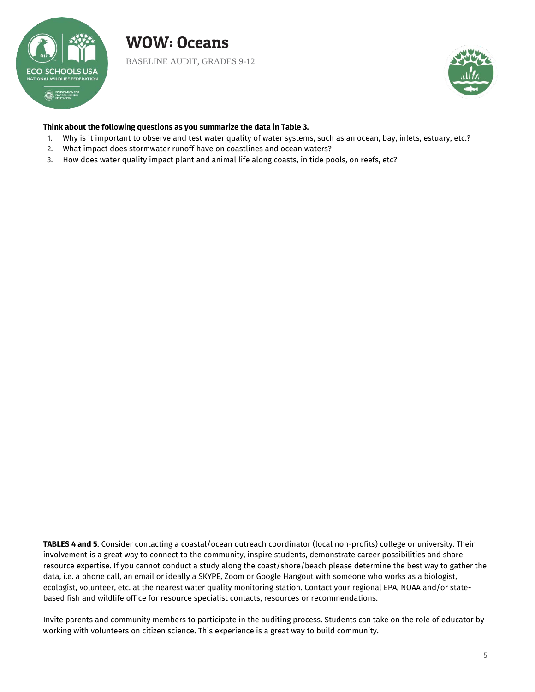



#### **Think about the following questions as you summarize the data in Table 3.**

- 1. Why is it important to observe and test water quality of water systems, such as an ocean, bay, inlets, estuary, etc.?
- 2. What impact does stormwater runoff have on coastlines and ocean waters?
- 3. How does water quality impact plant and animal life along coasts, in tide pools, on reefs, etc?

**TABLES 4 and 5**. Consider contacting a coastal/ocean outreach coordinator (local non-profits) college or university. Their involvement is a great way to connect to the community, inspire students, demonstrate career possibilities and share resource expertise. If you cannot conduct a study along the coast/shore/beach please determine the best way to gather the data, i.e. a phone call, an email or ideally a SKYPE, Zoom or Google Hangout with someone who works as a biologist, ecologist, volunteer, etc. at the nearest water quality monitoring station. Contact your regional EPA, NOAA and/or statebased fish and wildlife office for resource specialist contacts, resources or recommendations.

Invite parents and community members to participate in the auditing process. Students can take on the role of educator by working with volunteers on citizen science. This experience is a great way to build community.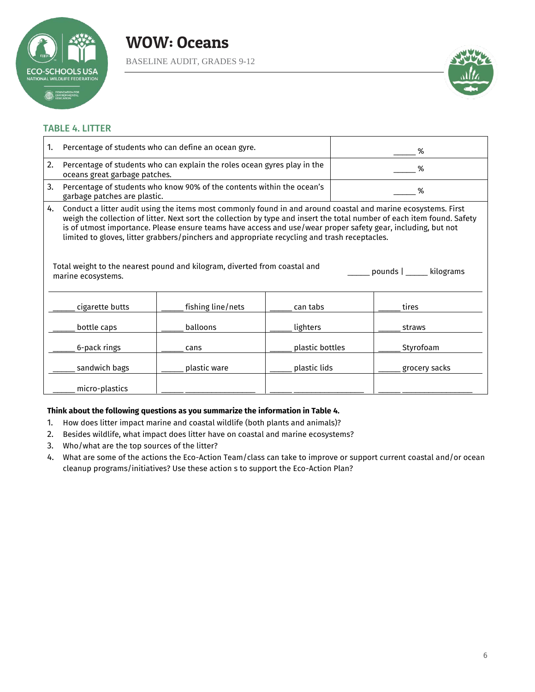

BASELINE AUDIT, GRADES 9-12



#### TABLE 4. LITTER

| 1. | Percentage of students who can define an ocean gyre.                                                                                                                                                                                                                                                                                                                                                                                                                                                                                                                              |                   |                 | %             |  |
|----|-----------------------------------------------------------------------------------------------------------------------------------------------------------------------------------------------------------------------------------------------------------------------------------------------------------------------------------------------------------------------------------------------------------------------------------------------------------------------------------------------------------------------------------------------------------------------------------|-------------------|-----------------|---------------|--|
| 2. | Percentage of students who can explain the roles ocean gyres play in the<br>oceans great garbage patches.                                                                                                                                                                                                                                                                                                                                                                                                                                                                         |                   | %               |               |  |
| 3. | Percentage of students who know 90% of the contents within the ocean's<br>garbage patches are plastic.                                                                                                                                                                                                                                                                                                                                                                                                                                                                            |                   | %               |               |  |
| 4. | Conduct a litter audit using the items most commonly found in and around coastal and marine ecosystems. First<br>weigh the collection of litter. Next sort the collection by type and insert the total number of each item found. Safety<br>is of utmost importance. Please ensure teams have access and use/wear proper safety gear, including, but not<br>limited to gloves, litter grabbers/pinchers and appropriate recycling and trash receptacles.<br>Total weight to the nearest pound and kilogram, diverted from coastal and<br>pounds   kilograms<br>marine ecosystems. |                   |                 |               |  |
|    | cigarette butts                                                                                                                                                                                                                                                                                                                                                                                                                                                                                                                                                                   | fishing line/nets | can tabs        | tires         |  |
|    | bottle caps                                                                                                                                                                                                                                                                                                                                                                                                                                                                                                                                                                       | balloons          | lighters        | straws        |  |
|    | 6-pack rings                                                                                                                                                                                                                                                                                                                                                                                                                                                                                                                                                                      | cans              | plastic bottles | Styrofoam     |  |
|    | sandwich bags                                                                                                                                                                                                                                                                                                                                                                                                                                                                                                                                                                     | plastic ware      | plastic lids    | grocery sacks |  |
|    | micro-plastics                                                                                                                                                                                                                                                                                                                                                                                                                                                                                                                                                                    |                   |                 |               |  |

#### **Think about the following questions as you summarize the information in Table 4.**

- 1. How does litter impact marine and coastal wildlife (both plants and animals)?
- 2. Besides wildlife, what impact does litter have on coastal and marine ecosystems?
- 3. Who/what are the top sources of the litter?
- 4. What are some of the actions the Eco-Action Team/class can take to improve or support current coastal and/or ocean cleanup programs/initiatives? Use these action s to support the Eco-Action Plan?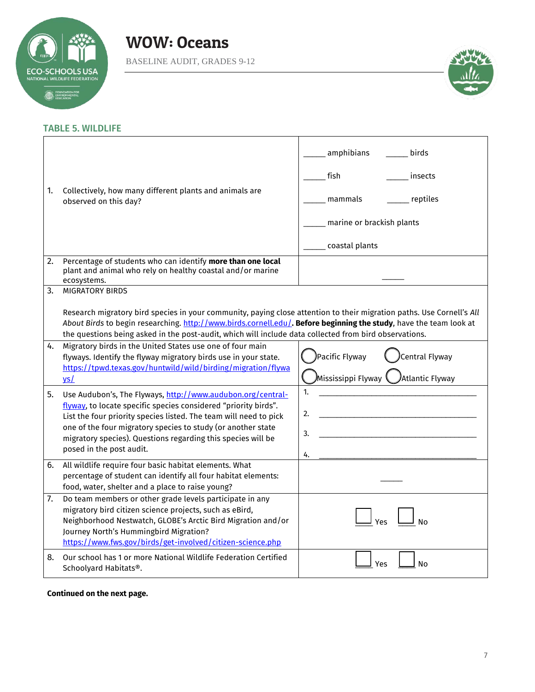

BASELINE AUDIT, GRADES 9-12



#### TABLE 5. WILDLIFE

| 1. | Collectively, how many different plants and animals are<br>observed on this day?                                                                                                                                                                                                                                                                                                | amphibians<br>birds<br>fish<br>insects<br>reptiles<br>mammals<br>marine or brackish plants<br>coastal plants |
|----|---------------------------------------------------------------------------------------------------------------------------------------------------------------------------------------------------------------------------------------------------------------------------------------------------------------------------------------------------------------------------------|--------------------------------------------------------------------------------------------------------------|
| 2. | Percentage of students who can identify more than one local<br>plant and animal who rely on healthy coastal and/or marine<br>ecosystems.                                                                                                                                                                                                                                        |                                                                                                              |
| 3. | <b>MIGRATORY BIRDS</b><br>Research migratory bird species in your community, paying close attention to their migration paths. Use Cornell's All<br>About Birds to begin researching. http://www.birds.cornell.edu/. Before beginning the study, have the team look at<br>the questions being asked in the post-audit, which will include data collected from bird observations. |                                                                                                              |
| 4. | Migratory birds in the United States use one of four main<br>flyways. Identify the flyway migratory birds use in your state.<br>https://tpwd.texas.gov/huntwild/wild/birding/migration/flywa<br>$vs$                                                                                                                                                                            | Pacific Flyway)<br>Central Flyway<br>Mississippi Flyway<br>Atlantic Flyway                                   |
| 5. | Use Audubon's, The Flyways, http://www.audubon.org/central-<br>flyway, to locate specific species considered "priority birds".<br>List the four priority species listed. The team will need to pick<br>one of the four migratory species to study (or another state<br>migratory species). Questions regarding this species will be<br>posed in the post audit.                 | 1.<br>2.<br>3.<br>4.                                                                                         |
| 6. | All wildlife require four basic habitat elements. What<br>percentage of student can identify all four habitat elements:<br>food, water, shelter and a place to raise young?                                                                                                                                                                                                     |                                                                                                              |
| 7. | Do team members or other grade levels participate in any<br>migratory bird citizen science projects, such as eBird,<br>Neighborhood Nestwatch, GLOBE's Arctic Bird Migration and/or<br>Journey North's Hummingbird Migration?<br>https://www.fws.gov/birds/get-involved/citizen-science.php                                                                                     | Yes<br>N٥                                                                                                    |
| 8. | Our school has 1 or more National Wildlife Federation Certified<br>Schoolyard Habitats®.                                                                                                                                                                                                                                                                                        | Yes<br>No                                                                                                    |

#### **Continued on the next page.**